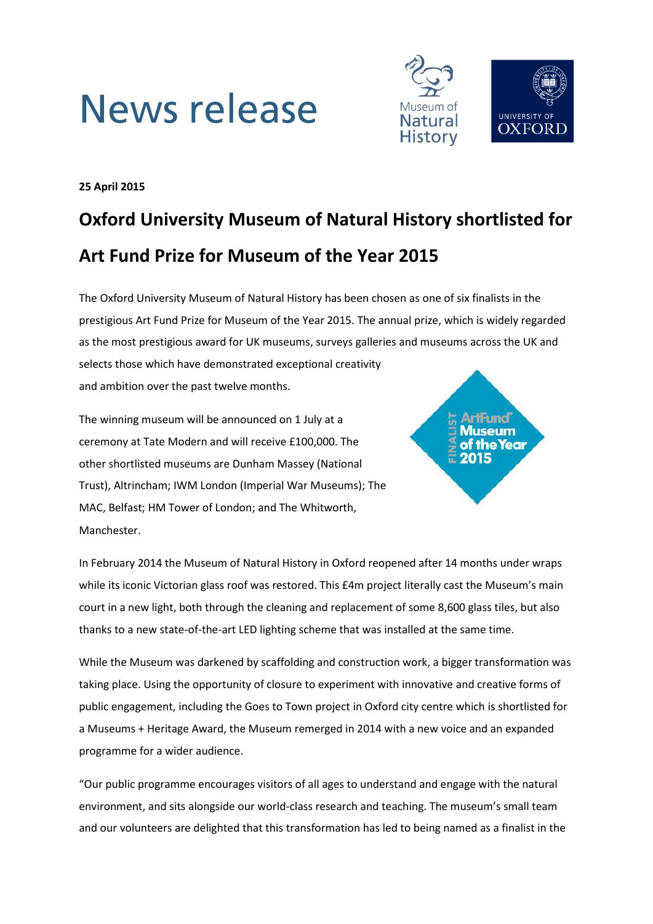# **News release**



**25 April 2015**

# **Oxford University Museum of Natural History shortlisted for Art Fund Prize for Museum of the Year 2015**

The Oxford University Museum of Natural History has been chosen as one of six finalists in the prestigious Art Fund Prize for Museum of the Year 2015. The annual prize, which is widely regarded as the most prestigious award for UK museums, surveys galleries and museums across the UK and selects those which have demonstrated exceptional creativity

and ambition over the past twelve months.

The winning museum will be announced on 1 July at a ceremony at Tate Modern and will receive £100,000. The other shortlisted museums are Dunham Massey (National Trust), Altrincham; IWM London (Imperial War Museums); The MAC, Belfast; HM Tower of London; and The Whitworth, Manchester.



In February 2014 the Museum of Natural History in Oxford reopened after 14 months under wraps while its iconic Victorian glass roof was restored. This £4m project literally cast the Museum's main court in a new light, both through the cleaning and replacement of some 8,600 glass tiles, but also thanks to a new state-of-the-art LED lighting scheme that was installed at the same time.

While the Museum was darkened by scaffolding and construction work, a bigger transformation was taking place. Using the opportunity of closure to experiment with innovative and creative forms of public engagement, including the Goes to Town project in Oxford city centre which is shortlisted for a Museums + Heritage Award, the Museum remerged in 2014 with a new voice and an expanded programme for a wider audience.

"Our public programme encourages visitors of all ages to understand and engage with the natural environment, and sits alongside our world-class research and teaching. The museum's small team and our volunteers are delighted that this transformation has led to being named as a finalist in the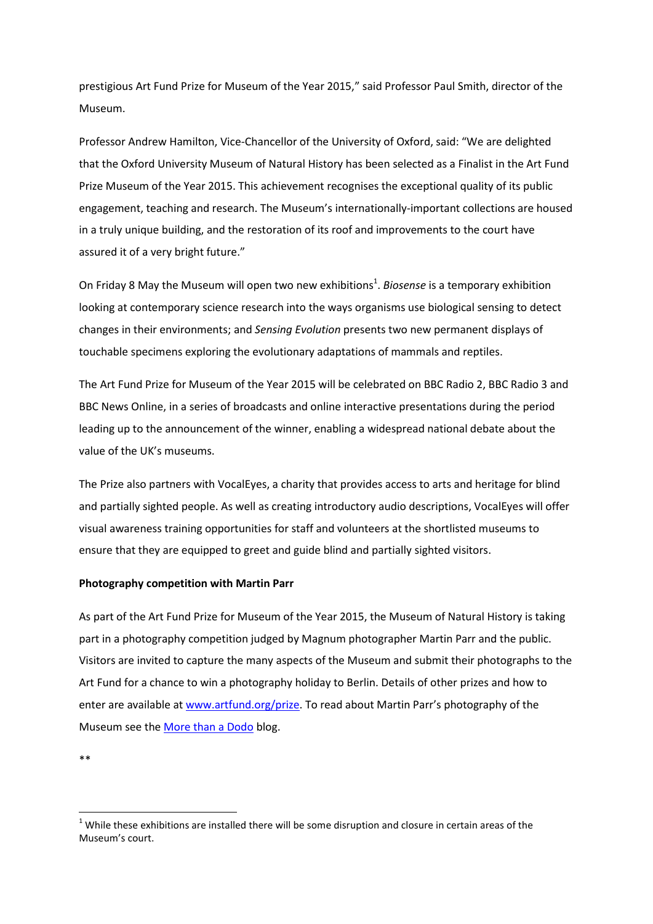prestigious Art Fund Prize for Museum of the Year 2015," said Professor Paul Smith, director of the Museum.

Professor Andrew Hamilton, Vice-Chancellor of the University of Oxford, said: "We are delighted that the Oxford University Museum of Natural History has been selected as a Finalist in the Art Fund Prize Museum of the Year 2015. This achievement recognises the exceptional quality of its public engagement, teaching and research. The Museum's internationally-important collections are housed in a truly unique building, and the restoration of its roof and improvements to the court have assured it of a very bright future."

On Friday 8 May the Museum will open two new exhibitions<sup>1</sup>. Biosense is a temporary exhibition looking at contemporary science research into the ways organisms use biological sensing to detect changes in their environments; and *Sensing Evolution* presents two new permanent displays of touchable specimens exploring the evolutionary adaptations of mammals and reptiles.

The Art Fund Prize for Museum of the Year 2015 will be celebrated on BBC Radio 2, BBC Radio 3 and BBC News Online, in a series of broadcasts and online interactive presentations during the period leading up to the announcement of the winner, enabling a widespread national debate about the value of the UK's museums.

The Prize also partners with VocalEyes, a charity that provides access to arts and heritage for blind and partially sighted people. As well as creating introductory audio descriptions, VocalEyes will offer visual awareness training opportunities for staff and volunteers at the shortlisted museums to ensure that they are equipped to greet and guide blind and partially sighted visitors.

### **Photography competition with Martin Parr**

As part of the Art Fund Prize for Museum of the Year 2015, the Museum of Natural History is taking part in a photography competition judged by Magnum photographer Martin Parr and the public. Visitors are invited to capture the many aspects of the Museum and submit their photographs to the Art Fund for a chance to win a photography holiday to Berlin. Details of other prizes and how to enter are available at [www.artfund.org/prize.](http://www.artfund.org/prize) To read about Martin Parr's photography of the Museum see the [More than a Dodo](http://www.morethanadodo.com/) blog.

\*\*

**.** 

 $1$  While these exhibitions are installed there will be some disruption and closure in certain areas of the Museum's court.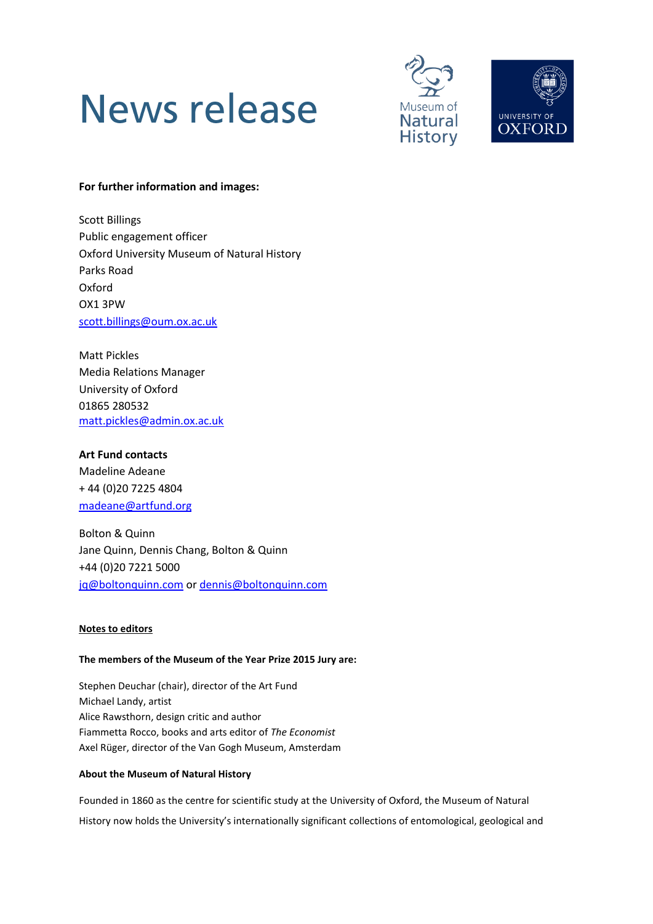# News release





# **For further information and images:**

Scott Billings Public engagement officer Oxford University Museum of Natural History Parks Road Oxford OX1 3PW [scott.billings@oum.ox.ac.uk](mailto:scott.billings@oum.ox.ac.uk)

Matt Pickles Media Relations Manager University of Oxford 01865 280532 [matt.pickles@admin.ox.ac.uk](mailto:matt.pickles@admin.ox.ac.uk)

# **Art Fund contacts**

Madeline Adeane + 44 (0)20 7225 4804 [madeane@artfund.org](mailto:madeane@artfund.org)

Bolton & Quinn Jane Quinn, Dennis Chang, Bolton & Quinn +44 (0)20 7221 5000 [jq@boltonquinn.com](mailto:jq@boltonquinn.com) or [dennis@boltonquinn.com](mailto:dennis@boltonquinn.com)

### **Notes to editors**

### **The members of the Museum of the Year Prize 2015 Jury are:**

Stephen Deuchar (chair), director of the Art Fund Michael Landy, artist Alice Rawsthorn, design critic and author Fiammetta Rocco, books and arts editor of *The Economist* Axel Rüger, director of the Van Gogh Museum, Amsterdam

## **About the Museum of Natural History**

Founded in 1860 as the centre for scientific study at the University of Oxford, the Museum of Natural History now holds the University's internationally significant collections of entomological, geological and